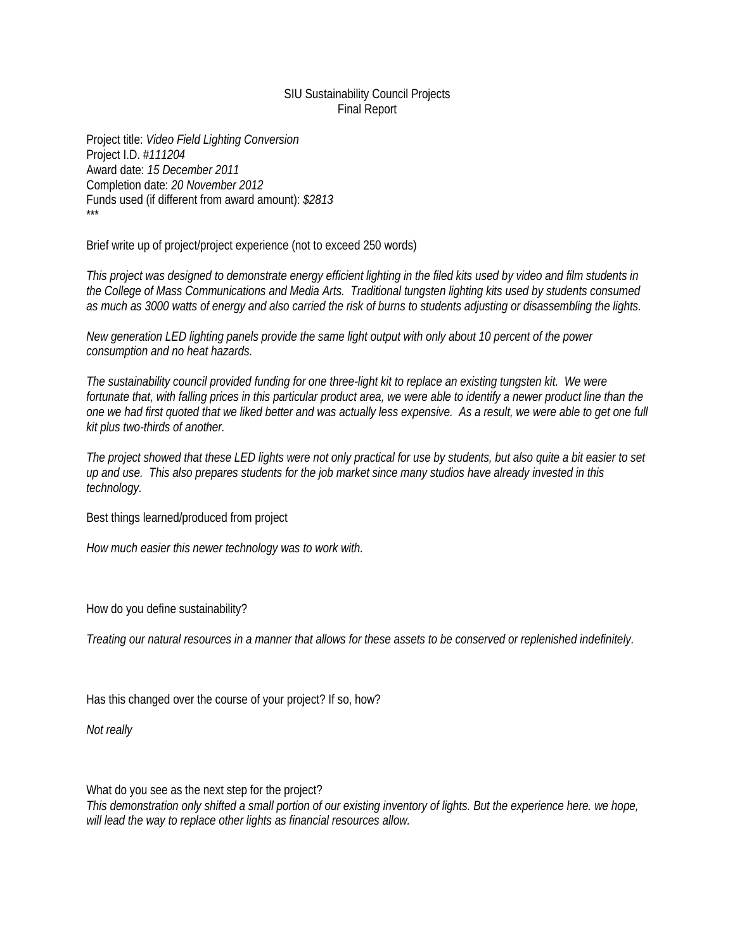## SIU Sustainability Council Projects Final Report

Project title: *Video Field Lighting Conversion* Project I.D. #*111204* Award date: *15 December 2011* Completion date: *20 November 2012* Funds used (if different from award amount): *\$2813* \*\*\*

Brief write up of project/project experience (not to exceed 250 words)

*This project was designed to demonstrate energy efficient lighting in the filed kits used by video and film students in the College of Mass Communications and Media Arts. Traditional tungsten lighting kits used by students consumed as much as 3000 watts of energy and also carried the risk of burns to students adjusting or disassembling the lights.*

*New generation LED lighting panels provide the same light output with only about 10 percent of the power consumption and no heat hazards.*

*The sustainability council provided funding for one three-light kit to replace an existing tungsten kit. We were fortunate that, with falling prices in this particular product area, we were able to identify a newer product line than the one we had first quoted that we liked better and was actually less expensive. As a result, we were able to get one full kit plus two-thirds of another.*

*The project showed that these LED lights were not only practical for use by students, but also quite a bit easier to set up and use. This also prepares students for the job market since many studios have already invested in this technology.*

Best things learned/produced from project

*How much easier this newer technology was to work with.*

How do you define sustainability?

*Treating our natural resources in a manner that allows for these assets to be conserved or replenished indefinitely.*

Has this changed over the course of your project? If so, how?

*Not really*

What do you see as the next step for the project?

*This demonstration only shifted a small portion of our existing inventory of lights. But the experience here. we hope, will lead the way to replace other lights as financial resources allow.*